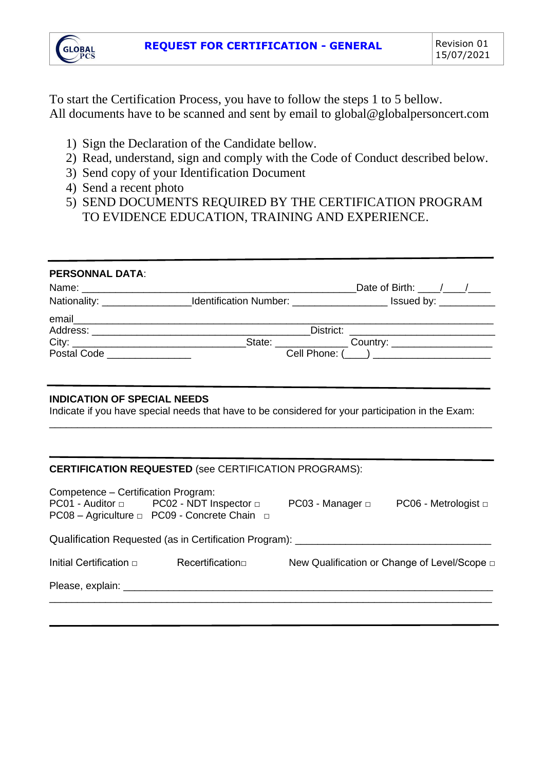

To start the Certification Process, you have to follow the steps 1 to 5 bellow. All documents have to be scanned and sent by email to global@globalpersoncert.com

- 1) Sign the Declaration of the Candidate bellow.
- 2) Read, understand, sign and comply with the Code of Conduct described below.
- 3) Send copy of your Identification Document
- 4) Send a recent photo
- 5) SEND DOCUMENTS REQUIRED BY THE CERTIFICATION PROGRAM TO EVIDENCE EDUCATION, TRAINING AND EXPERIENCE.

| <b>PERSONNAL DATA:</b>                                                                                                                                               |                                               |  |  |                                              |
|----------------------------------------------------------------------------------------------------------------------------------------------------------------------|-----------------------------------------------|--|--|----------------------------------------------|
|                                                                                                                                                                      |                                               |  |  | Date of Birth: ____/___/____                 |
| Nationality: ____________________Identification Number: _______________________Issued by: __________                                                                 |                                               |  |  |                                              |
|                                                                                                                                                                      |                                               |  |  |                                              |
|                                                                                                                                                                      |                                               |  |  |                                              |
|                                                                                                                                                                      |                                               |  |  |                                              |
| Postal Code __________________                                                                                                                                       | Cell Phone: (____) __________________________ |  |  |                                              |
|                                                                                                                                                                      |                                               |  |  |                                              |
| <b>INDICATION OF SPECIAL NEEDS</b><br>Indicate if you have special needs that have to be considered for your participation in the Exam:                              |                                               |  |  |                                              |
|                                                                                                                                                                      |                                               |  |  |                                              |
| <b>CERTIFICATION REQUESTED (see CERTIFICATION PROGRAMS):</b>                                                                                                         |                                               |  |  |                                              |
| Competence - Certification Program:<br>PC01 - Auditor □ PC02 - NDT Inspector □ PC03 - Manager □ PC06 - Metrologist □<br>PC08 - Agriculture □ PC09 - Concrete Chain □ |                                               |  |  |                                              |
| Qualification Requested (as in Certification Program): __________________________                                                                                    |                                               |  |  |                                              |
| Initial Certification  □                                                                                                                                             | Recertification□                              |  |  | New Qualification or Change of Level/Scope □ |
|                                                                                                                                                                      |                                               |  |  |                                              |
|                                                                                                                                                                      |                                               |  |  |                                              |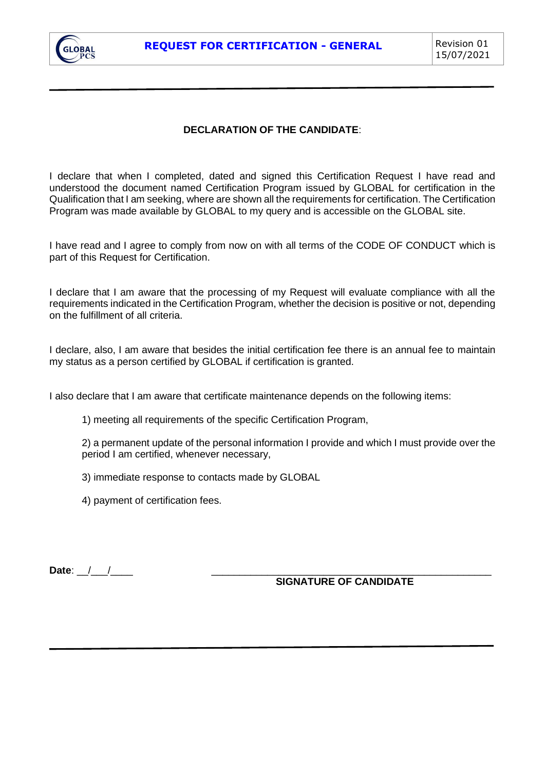

## **DECLARATION OF THE CANDIDATE**:

I declare that when I completed, dated and signed this Certification Request I have read and understood the document named Certification Program issued by GLOBAL for certification in the Qualification that I am seeking, where are shown all the requirements for certification. The Certification Program was made available by GLOBAL to my query and is accessible on the GLOBAL site.

I have read and I agree to comply from now on with all terms of the CODE OF CONDUCT which is part of this Request for Certification.

I declare that I am aware that the processing of my Request will evaluate compliance with all the requirements indicated in the Certification Program, whether the decision is positive or not, depending on the fulfillment of all criteria.

I declare, also, I am aware that besides the initial certification fee there is an annual fee to maintain my status as a person certified by GLOBAL if certification is granted.

I also declare that I am aware that certificate maintenance depends on the following items:

1) meeting all requirements of the specific Certification Program,

2) a permanent update of the personal information I provide and which I must provide over the period I am certified, whenever necessary,

3) immediate response to contacts made by GLOBAL

4) payment of certification fees.

**Date**: \_\_/\_\_\_/\_\_\_\_ \_\_\_\_\_\_\_\_\_\_\_\_\_\_\_\_\_\_\_\_\_\_\_\_\_\_\_\_\_\_\_\_\_\_\_\_\_\_\_\_\_\_\_\_\_\_\_\_\_\_

**SIGNATURE OF CANDIDATE**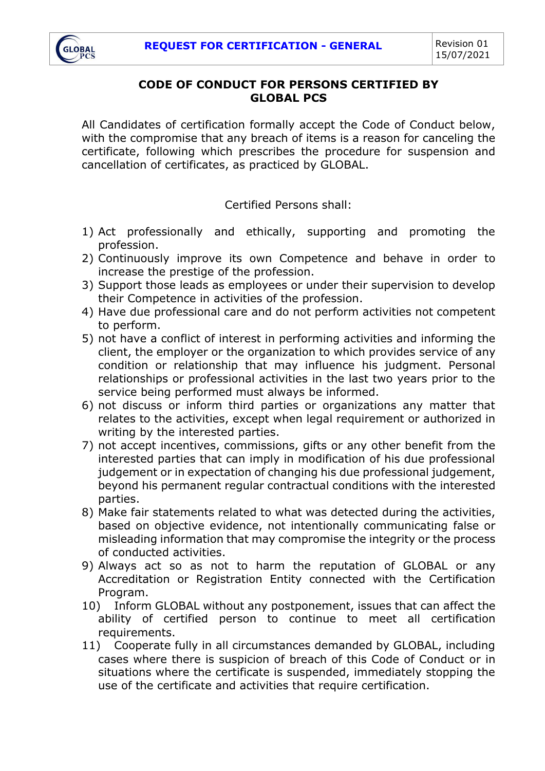

## **CODE OF CONDUCT FOR PERSONS CERTIFIED BY GLOBAL PCS**

All Candidates of certification formally accept the Code of Conduct below, with the compromise that any breach of items is a reason for canceling the certificate, following which prescribes the procedure for suspension and cancellation of certificates, as practiced by GLOBAL.

Certified Persons shall:

- 1) Act professionally and ethically, supporting and promoting the profession.
- 2) Continuously improve its own Competence and behave in order to increase the prestige of the profession.
- 3) Support those leads as employees or under their supervision to develop their Competence in activities of the profession.
- 4) Have due professional care and do not perform activities not competent to perform.
- 5) not have a conflict of interest in performing activities and informing the client, the employer or the organization to which provides service of any condition or relationship that may influence his judgment. Personal relationships or professional activities in the last two years prior to the service being performed must always be informed.
- 6) not discuss or inform third parties or organizations any matter that relates to the activities, except when legal requirement or authorized in writing by the interested parties.
- 7) not accept incentives, commissions, gifts or any other benefit from the interested parties that can imply in modification of his due professional judgement or in expectation of changing his due professional judgement, beyond his permanent regular contractual conditions with the interested parties.
- 8) Make fair statements related to what was detected during the activities, based on objective evidence, not intentionally communicating false or misleading information that may compromise the integrity or the process of conducted activities.
- 9) Always act so as not to harm the reputation of GLOBAL or any Accreditation or Registration Entity connected with the Certification Program.
- 10) Inform GLOBAL without any postponement, issues that can affect the ability of certified person to continue to meet all certification requirements.
- 11) Cooperate fully in all circumstances demanded by GLOBAL, including cases where there is suspicion of breach of this Code of Conduct or in situations where the certificate is suspended, immediately stopping the use of the certificate and activities that require certification.